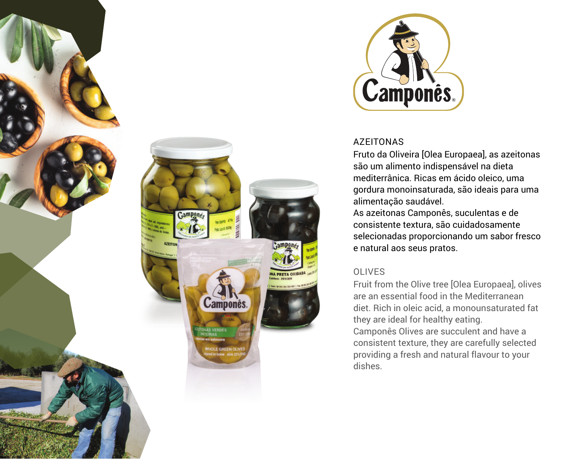





### **AZFITONAS**

Fruto da Oliveira [Olea Europaea], as azeitonas são um alimento indispensável na dieta mediterrânica. Ricas em ácido oleico, uma gordura monoinsaturada, são ideais para uma alimentação saudável.

As azeitonas Camponês, suculentas e de consistente textura, são cuidadosamente selecionadas proporcionando um sabor fresco e natural aos seus pratos.

## OLIVES

Fruit from the Olive tree [Olea Europaea], olives are an essential food in the Mediterranean diet. Rich in oleic acid, a monounsaturated fat they are ideal for healthy eating. Camponês Olives are succulent and have a consistent texture, they are carefully selected providing a fresh and natural flavour to your dishes.